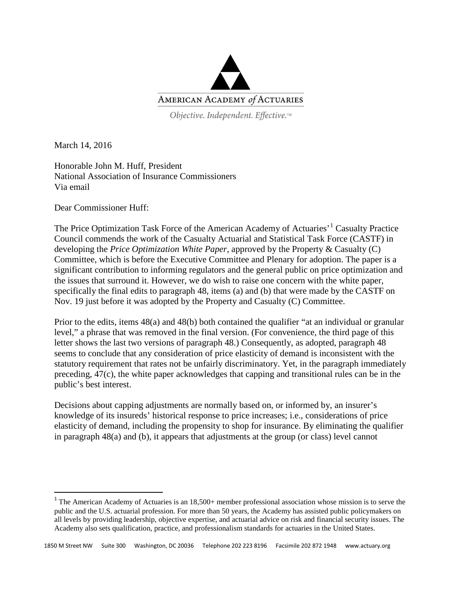

Objective. Independent. Effective.™

March 14, 2016

Honorable John M. Huff, President National Association of Insurance Commissioners Via email

Dear Commissioner Huff:

The Price Optimization Task Force of the American Academy of Actuaries<sup>, [1](#page-0-0)</sup> Casualty Practice Council commends the work of the Casualty Actuarial and Statistical Task Force (CASTF) in developing the *Price Optimization White Paper*, approved by the Property & Casualty (C) Committee, which is before the Executive Committee and Plenary for adoption. The paper is a significant contribution to informing regulators and the general public on price optimization and the issues that surround it. However, we do wish to raise one concern with the white paper, specifically the final edits to paragraph 48, items (a) and (b) that were made by the CASTF on Nov. 19 just before it was adopted by the Property and Casualty (C) Committee.

Prior to the edits, items 48(a) and 48(b) both contained the qualifier "at an individual or granular level," a phrase that was removed in the final version. (For convenience, the third page of this letter shows the last two versions of paragraph 48.) Consequently, as adopted, paragraph 48 seems to conclude that any consideration of price elasticity of demand is inconsistent with the statutory requirement that rates not be unfairly discriminatory. Yet, in the paragraph immediately preceding, 47(c), the white paper acknowledges that capping and transitional rules can be in the public's best interest.

Decisions about capping adjustments are normally based on, or informed by, an insurer's knowledge of its insureds' historical response to price increases; i.e., considerations of price elasticity of demand, including the propensity to shop for insurance. By eliminating the qualifier in paragraph 48(a) and (b), it appears that adjustments at the group (or class) level cannot

<span id="page-0-0"></span> $1$  The American Academy of Actuaries is an  $18,500+$  member professional association whose mission is to serve the public and the U.S. actuarial profession. For more than 50 years, the Academy has assisted public policymakers on all levels by providing leadership, objective expertise, and actuarial advice on risk and financial security issues. The Academy also sets qualification, practice, and professionalism standards for actuaries in the United States.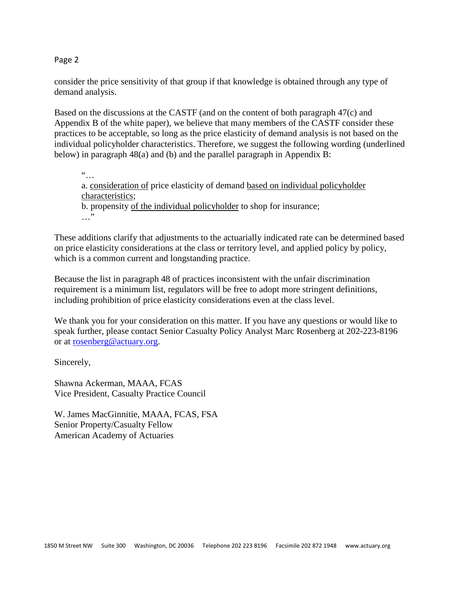Page 2

consider the price sensitivity of that group if that knowledge is obtained through any type of demand analysis.

Based on the discussions at the CASTF (and on the content of both paragraph 47(c) and Appendix B of the white paper), we believe that many members of the CASTF consider these practices to be acceptable, so long as the price elasticity of demand analysis is not based on the individual policyholder characteristics. Therefore, we suggest the following wording (underlined below) in paragraph 48(a) and (b) and the parallel paragraph in Appendix B:

"… a. consideration of price elasticity of demand based on individual policyholder characteristics; b. propensity of the individual policyholder to shop for insurance; …"

These additions clarify that adjustments to the actuarially indicated rate can be determined based on price elasticity considerations at the class or territory level, and applied policy by policy, which is a common current and longstanding practice.

Because the list in paragraph 48 of practices inconsistent with the unfair discrimination requirement is a minimum list, regulators will be free to adopt more stringent definitions, including prohibition of price elasticity considerations even at the class level.

We thank you for your consideration on this matter. If you have any questions or would like to speak further, please contact Senior Casualty Policy Analyst Marc Rosenberg at 202-223-8196 or at [rosenberg@actuary.org.](mailto:rosenberg@actuary.org)

Sincerely,

Shawna Ackerman, MAAA, FCAS Vice President, Casualty Practice Council

W. James MacGinnitie, MAAA, FCAS, FSA Senior Property/Casualty Fellow American Academy of Actuaries